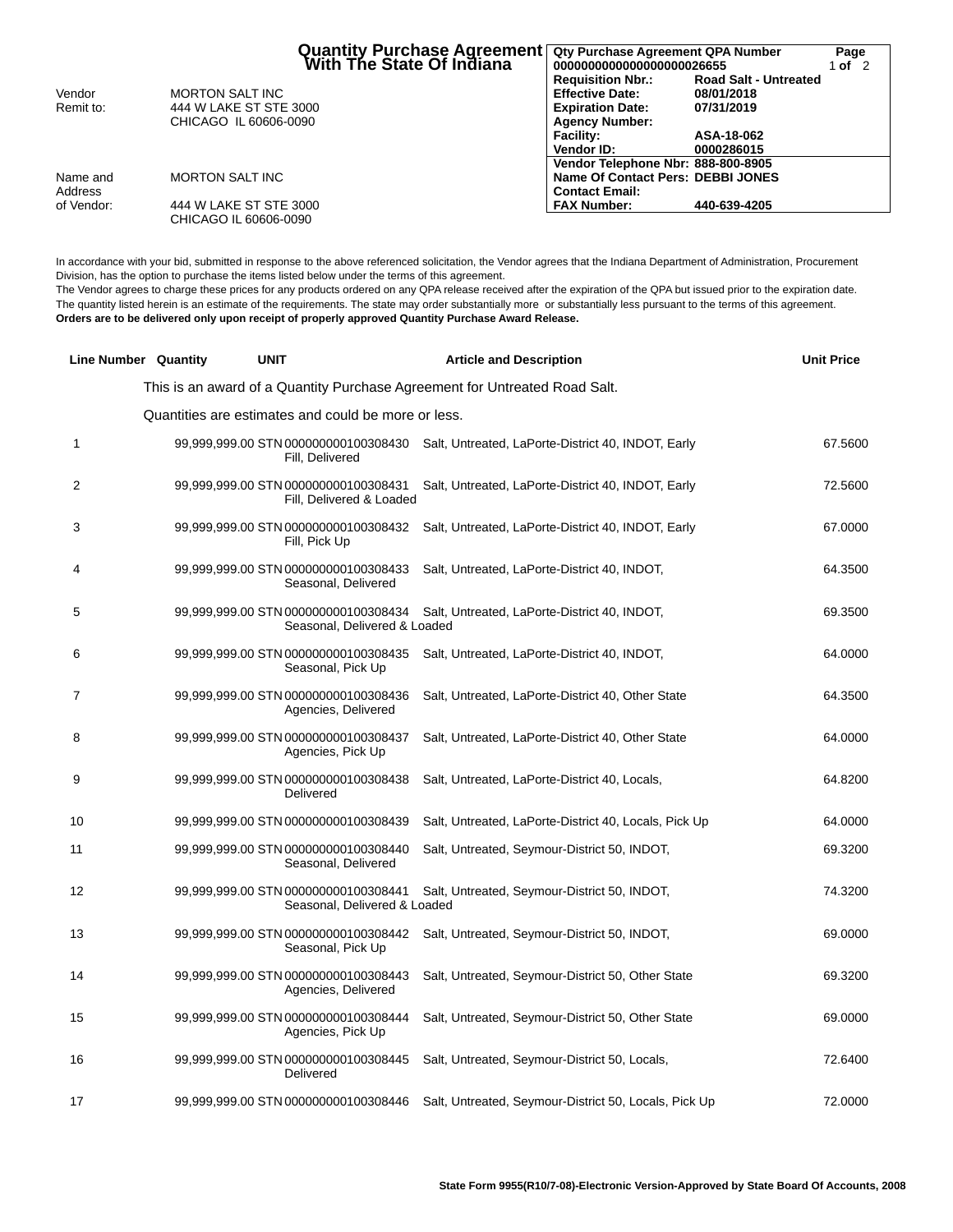|            | Quantity Purchase Agreement<br>  With The State Of Indiana |                                    | Qty Purchase Agreement QPA Number<br>Page<br>0000000000000000000026655<br>1 of $2$ |  |
|------------|------------------------------------------------------------|------------------------------------|------------------------------------------------------------------------------------|--|
|            |                                                            | <b>Requisition Nbr.:</b>           | <b>Road Salt - Untreated</b>                                                       |  |
| Vendor     | <b>MORTON SALT INC</b>                                     | <b>Effective Date:</b>             | 08/01/2018                                                                         |  |
| Remit to:  | 444 W LAKE ST STE 3000                                     | <b>Expiration Date:</b>            | 07/31/2019                                                                         |  |
|            | CHICAGO IL 60606-0090                                      | <b>Agency Number:</b>              |                                                                                    |  |
|            |                                                            | <b>Facility:</b>                   | ASA-18-062                                                                         |  |
|            |                                                            | <b>Vendor ID:</b>                  | 0000286015                                                                         |  |
|            |                                                            | Vendor Telephone Nbr: 888-800-8905 |                                                                                    |  |
| Name and   | <b>MORTON SALT INC</b>                                     | Name Of Contact Pers: DEBBI JONES  |                                                                                    |  |
| Address    |                                                            | <b>Contact Email:</b>              |                                                                                    |  |
| of Vendor: | 444 W LAKE ST STE 3000                                     | <b>FAX Number:</b>                 | 440-639-4205                                                                       |  |
|            | CHICAGO IL 60606-0090                                      |                                    |                                                                                    |  |

In accordance with your bid, submitted in response to the above referenced solicitation, the Vendor agrees that the Indiana Department of Administration, Procurement Division, has the option to purchase the items listed below under the terms of this agreement.

The Vendor agrees to charge these prices for any products ordered on any QPA release received after the expiration of the QPA but issued prior to the expiration date. The quantity listed herein is an estimate of the requirements. The state may order substantially more or substantially less pursuant to the terms of this agreement. **Orders are to be delivered only upon receipt of properly approved Quantity Purchase Award Release.**

|                | <b>Line Number Quantity</b> | <b>UNIT</b>                                                          | <b>Article and Description</b>                                                          | <b>Unit Price</b> |
|----------------|-----------------------------|----------------------------------------------------------------------|-----------------------------------------------------------------------------------------|-------------------|
|                |                             |                                                                      | This is an award of a Quantity Purchase Agreement for Untreated Road Salt.              |                   |
|                |                             | Quantities are estimates and could be more or less.                  |                                                                                         |                   |
| 1              |                             | Fill, Delivered                                                      | 99,999,999.00 STN 000000000100308430 Salt, Untreated, LaPorte-District 40, INDOT, Early | 67.5600           |
| $\overline{2}$ |                             | 99,999,999.00 STN 000000000100308431<br>Fill, Delivered & Loaded     | Salt, Untreated, LaPorte-District 40, INDOT, Early                                      | 72.5600           |
| 3              |                             | 99,999,999.00 STN 000000000100308432<br>Fill, Pick Up                | Salt, Untreated, LaPorte-District 40, INDOT, Early                                      | 67.0000           |
| $\overline{4}$ |                             | 99,999,999.00 STN 000000000100308433<br>Seasonal, Delivered          | Salt, Untreated, LaPorte-District 40, INDOT,                                            | 64.3500           |
| 5              |                             | 99,999,999.00 STN 000000000100308434<br>Seasonal, Delivered & Loaded | Salt, Untreated, LaPorte-District 40, INDOT,                                            | 69.3500           |
| 6              |                             | 99,999,999.00 STN 000000000100308435<br>Seasonal, Pick Up            | Salt, Untreated, LaPorte-District 40, INDOT,                                            | 64.0000           |
| $\overline{7}$ |                             | 99,999,999.00 STN 000000000100308436<br>Agencies, Delivered          | Salt, Untreated, LaPorte-District 40, Other State                                       | 64.3500           |
| 8              |                             | 99,999,999.00 STN 000000000100308437<br>Agencies, Pick Up            | Salt, Untreated, LaPorte-District 40, Other State                                       | 64.0000           |
| 9              |                             | 99,999,999.00 STN 000000000100308438<br>Delivered                    | Salt, Untreated, LaPorte-District 40, Locals,                                           | 64.8200           |
| 10             |                             | 99,999,999.00 STN 000000000100308439                                 | Salt, Untreated, LaPorte-District 40, Locals, Pick Up                                   | 64.0000           |
| 11             |                             | 99,999,999.00 STN 000000000100308440<br>Seasonal, Delivered          | Salt, Untreated, Seymour-District 50, INDOT,                                            | 69.3200           |
| 12             |                             | 99,999,999.00 STN 000000000100308441<br>Seasonal, Delivered & Loaded | Salt, Untreated, Seymour-District 50, INDOT,                                            | 74.3200           |
| 13             |                             | 99,999,999.00 STN 000000000100308442<br>Seasonal, Pick Up            | Salt, Untreated, Seymour-District 50, INDOT,                                            | 69.0000           |
| 14             |                             | 99,999,999.00 STN 000000000100308443<br>Agencies, Delivered          | Salt, Untreated, Seymour-District 50, Other State                                       | 69.3200           |
| 15             |                             | 99,999,999.00 STN 000000000100308444<br>Agencies, Pick Up            | Salt, Untreated, Seymour-District 50, Other State                                       | 69.0000           |
| 16             |                             | 99,999,999.00 STN 000000000100308445<br>Delivered                    | Salt, Untreated, Seymour-District 50, Locals,                                           | 72.6400           |
| 17             |                             | 99,999,999.00 STN 000000000100308446                                 | Salt, Untreated, Seymour-District 50, Locals, Pick Up                                   | 72.0000           |